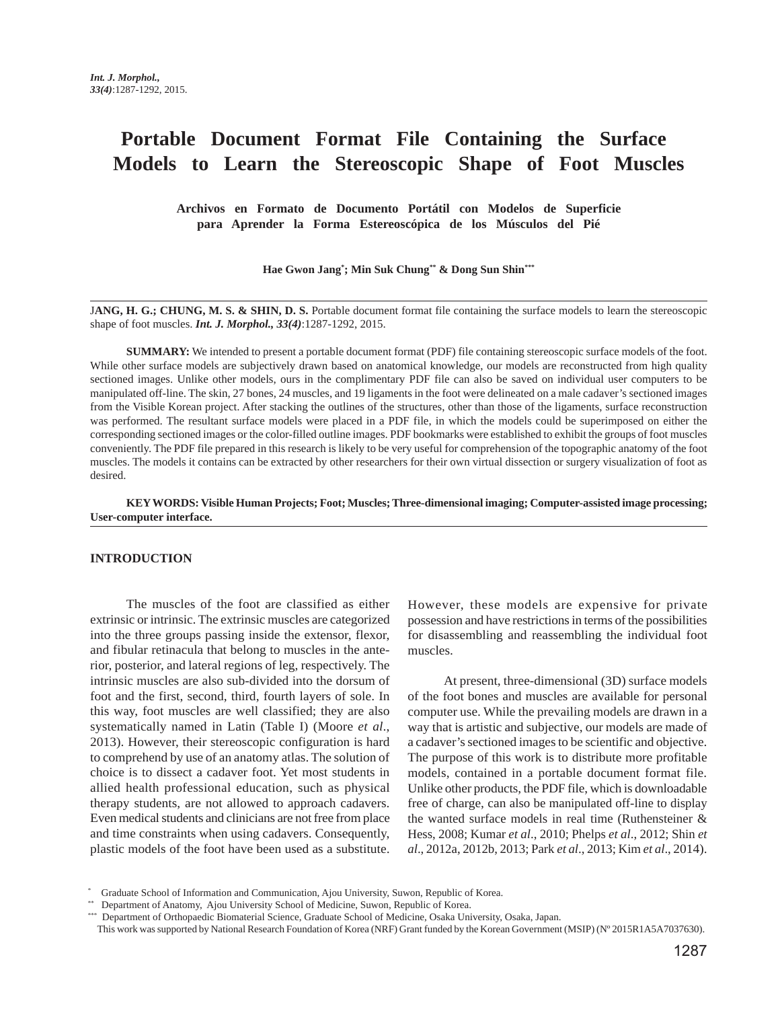# **Portable Document Format File Containing the Surface Models to Learn the Stereoscopic Shape of Foot Muscles**

**Archivos en Formato de Documento Portátil con Modelos de Superficie para Aprender la Forma Estereoscópica de los Músculos del Pié**

**Hae Gwon Jang\* ; Min Suk Chung\*\* & Dong Sun Shin\*\*\***

J**ANG, H. G.; CHUNG, M. S. & SHIN, D. S.** Portable document format file containing the surface models to learn the stereoscopic shape of foot muscles. *Int. J. Morphol., 33(4)*:1287-1292, 2015.

**SUMMARY:** We intended to present a portable document format (PDF) file containing stereoscopic surface models of the foot. While other surface models are subjectively drawn based on anatomical knowledge, our models are reconstructed from high quality sectioned images. Unlike other models, ours in the complimentary PDF file can also be saved on individual user computers to be manipulated off-line. The skin, 27 bones, 24 muscles, and 19 ligaments in the foot were delineated on a male cadaver's sectioned images from the Visible Korean project. After stacking the outlines of the structures, other than those of the ligaments, surface reconstruction was performed. The resultant surface models were placed in a PDF file, in which the models could be superimposed on either the corresponding sectioned images or the color-filled outline images. PDF bookmarks were established to exhibit the groups of foot muscles conveniently. The PDF file prepared in this research is likely to be very useful for comprehension of the topographic anatomy of the foot muscles. The models it contains can be extracted by other researchers for their own virtual dissection or surgery visualization of foot as desired.

**KEY WORDS: Visible Human Projects; Foot; Muscles; Three-dimensional imaging; Computer-assisted image processing; User-computer interface.**

#### **INTRODUCTION**

The muscles of the foot are classified as either extrinsic or intrinsic. The extrinsic muscles are categorized into the three groups passing inside the extensor, flexor, and fibular retinacula that belong to muscles in the anterior, posterior, and lateral regions of leg, respectively. The intrinsic muscles are also sub-divided into the dorsum of foot and the first, second, third, fourth layers of sole. In this way, foot muscles are well classified; they are also systematically named in Latin (Table I) (Moore *et al*., 2013). However, their stereoscopic configuration is hard to comprehend by use of an anatomy atlas. The solution of choice is to dissect a cadaver foot. Yet most students in allied health professional education, such as physical therapy students, are not allowed to approach cadavers. Even medical students and clinicians are not free from place and time constraints when using cadavers. Consequently, plastic models of the foot have been used as a substitute.

However, these models are expensive for private possession and have restrictions in terms of the possibilities for disassembling and reassembling the individual foot muscles.

At present, three-dimensional (3D) surface models of the foot bones and muscles are available for personal computer use. While the prevailing models are drawn in a way that is artistic and subjective, our models are made of a cadaver's sectioned images to be scientific and objective. The purpose of this work is to distribute more profitable models, contained in a portable document format file. Unlike other products, the PDF file, which is downloadable free of charge, can also be manipulated off-line to display the wanted surface models in real time (Ruthensteiner & Hess, 2008; Kumar *et al*., 2010; Phelps *et al*., 2012; Shin *et al*., 2012a, 2012b, 2013; Park *et al*., 2013; Kim *et al*., 2014).

<sup>\*</sup> Graduate School of Information and Communication, Ajou University, Suwon, Republic of Korea.

<sup>\*\*</sup> Department of Anatomy, Ajou University School of Medicine, Suwon, Republic of Korea.

<sup>\*\*\*</sup> Department of Orthopaedic Biomaterial Science, Graduate School of Medicine, Osaka University, Osaka, Japan.

This work was supported by National Research Foundation of Korea (NRF) Grant funded by the Korean Government (MSIP) (Nº 2015R1A5A7037630).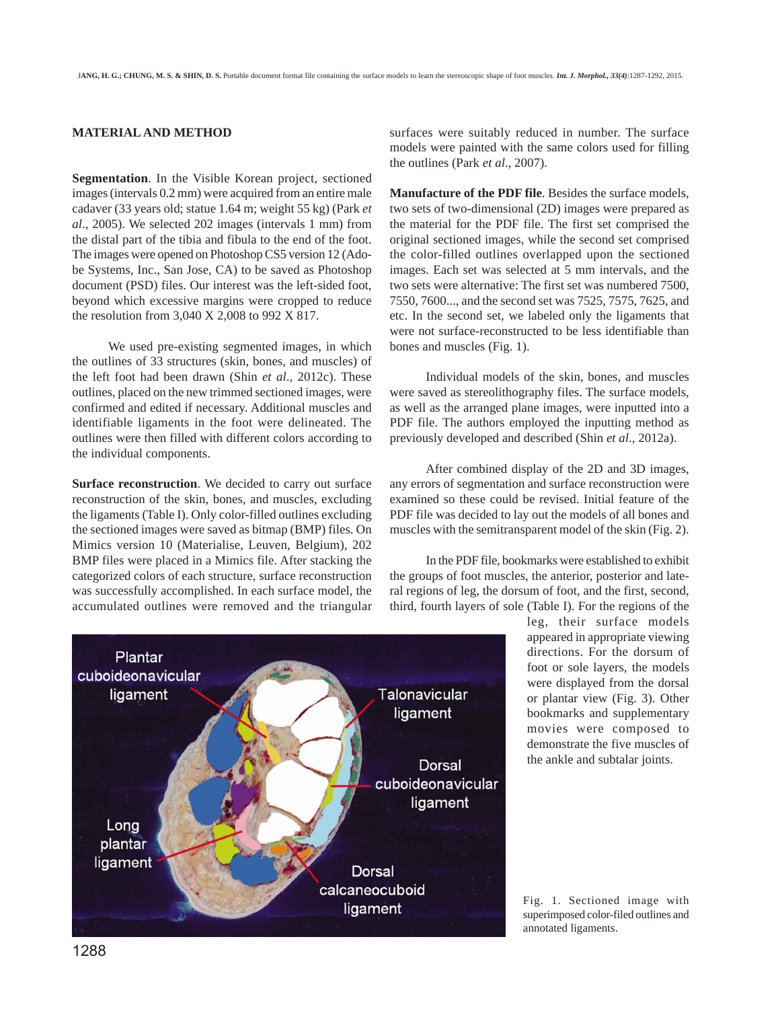## **MATERIAL AND METHOD**

**Segmentation**. In the Visible Korean project, sectioned images (intervals 0.2 mm) were acquired from an entire male cadaver (33 years old; statue 1.64 m; weight 55 kg) (Park *et al*., 2005). We selected 202 images (intervals 1 mm) from the distal part of the tibia and fibula to the end of the foot. The images were opened on Photoshop CS5 version 12 (Adobe Systems, Inc., San Jose, CA) to be saved as Photoshop document (PSD) files. Our interest was the left-sided foot, beyond which excessive margins were cropped to reduce the resolution from 3,040 X 2,008 to 992 X 817.

We used pre-existing segmented images, in which the outlines of 33 structures (skin, bones, and muscles) of the left foot had been drawn (Shin *et al*., 2012c). These outlines, placed on the new trimmed sectioned images, were confirmed and edited if necessary. Additional muscles and identifiable ligaments in the foot were delineated. The outlines were then filled with different colors according to the individual components.

**Surface reconstruction**. We decided to carry out surface reconstruction of the skin, bones, and muscles, excluding the ligaments (Table I). Only color-filled outlines excluding the sectioned images were saved as bitmap (BMP) files. On Mimics version 10 (Materialise, Leuven, Belgium), 202 BMP files were placed in a Mimics file. After stacking the categorized colors of each structure, surface reconstruction was successfully accomplished. In each surface model, the accumulated outlines were removed and the triangular

surfaces were suitably reduced in number. The surface models were painted with the same colors used for filling the outlines (Park *et al*., 2007).

**Manufacture of the PDF file**. Besides the surface models, two sets of two-dimensional (2D) images were prepared as the material for the PDF file. The first set comprised the original sectioned images, while the second set comprised the color-filled outlines overlapped upon the sectioned images. Each set was selected at 5 mm intervals, and the two sets were alternative: The first set was numbered 7500, 7550, 7600..., and the second set was 7525, 7575, 7625, and etc. In the second set, we labeled only the ligaments that were not surface-reconstructed to be less identifiable than bones and muscles (Fig. 1).

Individual models of the skin, bones, and muscles were saved as stereolithography files. The surface models, as well as the arranged plane images, were inputted into a PDF file. The authors employed the inputting method as previously developed and described (Shin *et al*., 2012a).

After combined display of the 2D and 3D images, any errors of segmentation and surface reconstruction were examined so these could be revised. Initial feature of the PDF file was decided to lay out the models of all bones and muscles with the semitransparent model of the skin (Fig. 2).

In the PDF file, bookmarks were established to exhibit the groups of foot muscles, the anterior, posterior and lateral regions of leg, the dorsum of foot, and the first, second, third, fourth layers of sole (Table I). For the regions of the



leg, their surface models appeared in appropriate viewing directions. For the dorsum of foot or sole layers, the models were displayed from the dorsal or plantar view (Fig. 3). Other bookmarks and supplementary movies were composed to demonstrate the five muscles of the ankle and subtalar joints.

Fig. 1. Sectioned image with superimposed color-filed outlines and annotated ligaments.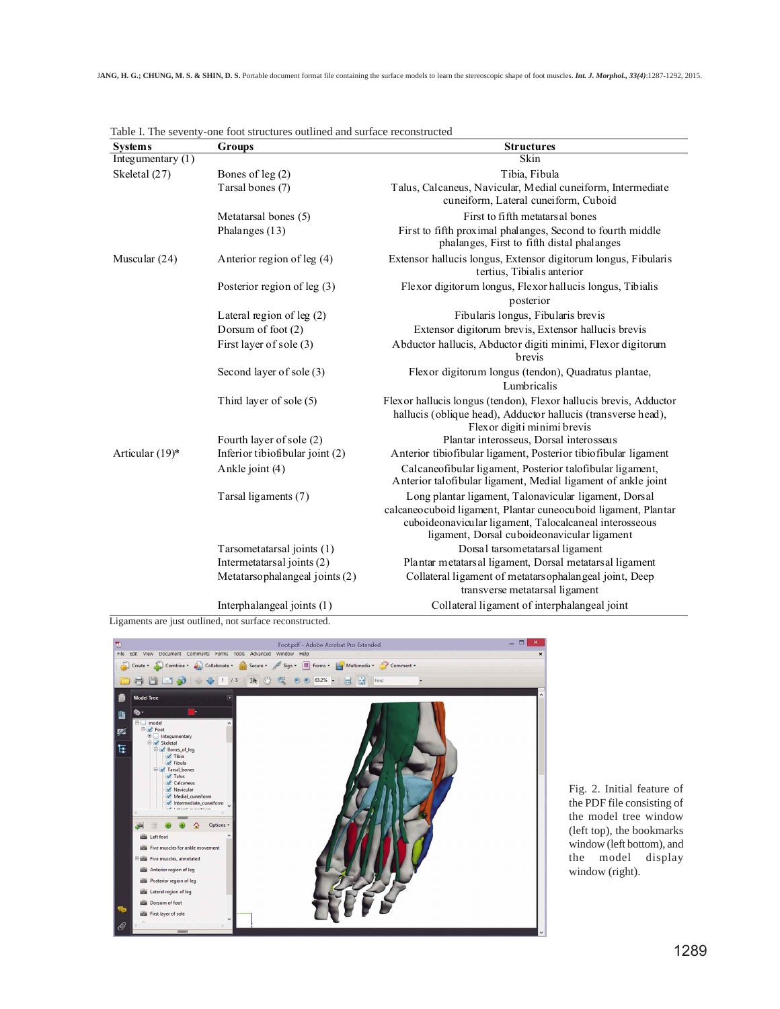| <b>Systems</b>    | Groups                          | <b>Structures</b>                                                                                                                                                                                                                |
|-------------------|---------------------------------|----------------------------------------------------------------------------------------------------------------------------------------------------------------------------------------------------------------------------------|
| Integumentary (1) |                                 | Skin                                                                                                                                                                                                                             |
| Skeletal (27)     | Bones of $leg(2)$               | Tibia, Fibula                                                                                                                                                                                                                    |
|                   | Tarsal bones (7)                | Talus, Calcaneus, Navicular, Medial cuneiform, Intermediate<br>cuneiform, Lateral cuneiform, Cuboid                                                                                                                              |
|                   | Metatarsal bones (5)            | First to fifth metatars al bones                                                                                                                                                                                                 |
|                   | Phalanges (13)                  | First to fifth proximal phalanges, Second to fourth middle<br>phalanges, First to fifth distal phalanges                                                                                                                         |
| Muscular $(24)$   | Anterior region of leg (4)      | Extensor hallucis longus, Extensor digitorum longus, Fibularis<br>tertius, Tibialis anterior                                                                                                                                     |
|                   | Posterior region of leg (3)     | Flexor digitorum longus, Flexor hallucis longus, Tibialis<br>posterior                                                                                                                                                           |
|                   | Lateral region of leg $(2)$     | Fibularis longus, Fibularis brevis                                                                                                                                                                                               |
|                   | Dorsum of foot (2)              | Extensor digitorum brevis, Extensor hallucis brevis                                                                                                                                                                              |
|                   | First layer of sole (3)         | Abductor hallucis, Abductor digiti minimi, Flexor digitorum<br>brevis                                                                                                                                                            |
|                   | Second layer of sole (3)        | Flexor digitorum longus (tendon), Quadratus plantae,<br>Lumbricalis                                                                                                                                                              |
|                   | Third layer of sole (5)         | Flexor hallucis longus (tendon), Flexor hallucis brevis, Adductor<br>hallucis (oblique head), Adductor hallucis (transverse head),<br>Flexor digiti minimi brevis                                                                |
|                   | Fourth layer of sole (2)        | Plantar interosseus, Dorsal interosseus                                                                                                                                                                                          |
| Articular (19)*   | Inferior tibiofibular joint (2) | Anterior tibiofibular ligament, Posterior tibiofibular ligament                                                                                                                                                                  |
|                   | Ankle joint (4)                 | Calcaneofibular ligament, Posterior talofibular ligament,<br>Anterior talofibular ligament, Medial ligament of ankle joint                                                                                                       |
|                   | Tarsal ligaments (7)            | Long plantar ligament, Talonavicular ligament, Dorsal<br>calcaneocuboid ligament, Plantar cuneocuboid ligament, Plantar<br>cuboideonavicular ligament, Talocalcaneal interosseous<br>ligament, Dorsal cuboideonavicular ligament |
|                   | Tarsometatarsal joints (1)      | Dorsal tarsometatarsal ligament                                                                                                                                                                                                  |
|                   | Intermetatarsal joints (2)      | Plantar metatarsal ligament, Dorsal metatarsal ligament                                                                                                                                                                          |
|                   | Metatarsophalangeal joints (2)  | Collateral ligament of metatars ophalangeal joint, Deep<br>transverse metatarsal ligament                                                                                                                                        |
|                   | Interphalangeal joints (1)      | Collateral ligament of interphalangeal joint                                                                                                                                                                                     |

Table I. The seventy-one foot structures outlined and surface reconstructed

Ligaments are just outlined, not surface reconstructed.



Fig. 2. Initial feature of the PDF file consisting of the model tree window (left top), the bookmarks window (left bottom), and the model display window (right).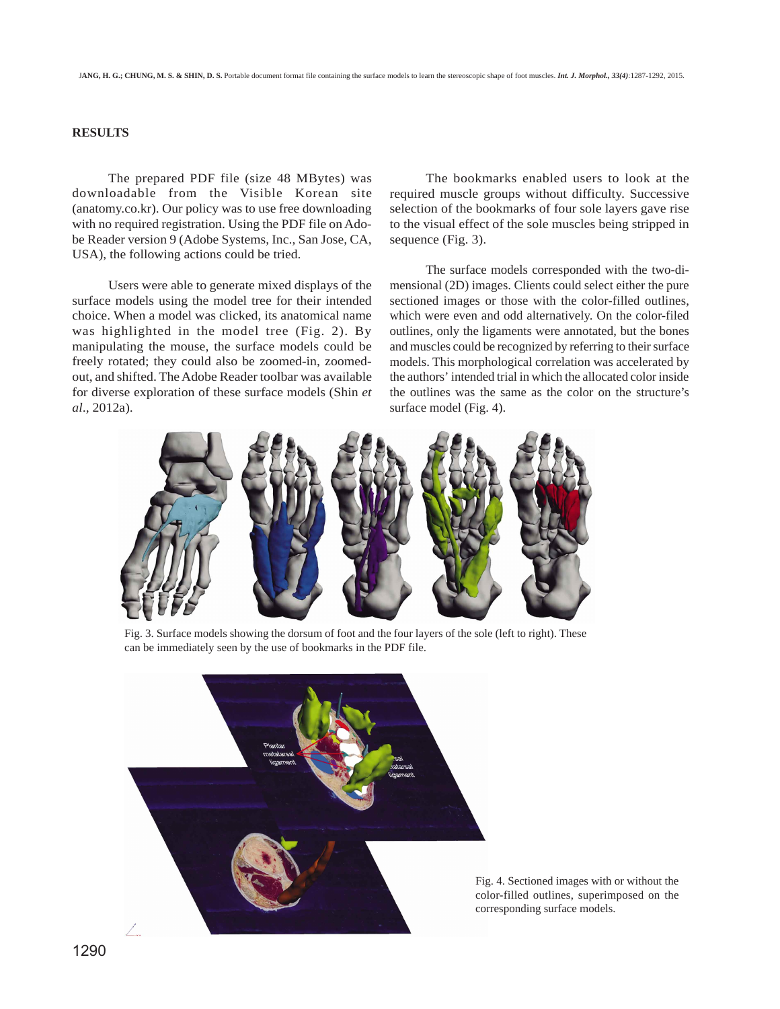### **RESULTS**

The prepared PDF file (size 48 MBytes) was downloadable from the Visible Korean site (anatomy.co.kr). Our policy was to use free downloading with no required registration. Using the PDF file on Adobe Reader version 9 (Adobe Systems, Inc., San Jose, CA, USA), the following actions could be tried.

Users were able to generate mixed displays of the surface models using the model tree for their intended choice. When a model was clicked, its anatomical name was highlighted in the model tree (Fig. 2). By manipulating the mouse, the surface models could be freely rotated; they could also be zoomed-in, zoomedout, and shifted. The Adobe Reader toolbar was available for diverse exploration of these surface models (Shin *et al*., 2012a).

The bookmarks enabled users to look at the required muscle groups without difficulty. Successive selection of the bookmarks of four sole layers gave rise to the visual effect of the sole muscles being stripped in sequence (Fig. 3).

The surface models corresponded with the two-dimensional (2D) images. Clients could select either the pure sectioned images or those with the color-filled outlines, which were even and odd alternatively. On the color-filed outlines, only the ligaments were annotated, but the bones and muscles could be recognized by referring to their surface models. This morphological correlation was accelerated by the authors' intended trial in which the allocated color inside the outlines was the same as the color on the structure's surface model (Fig. 4).



Fig. 3. Surface models showing the dorsum of foot and the four layers of the sole (left to right). These can be immediately seen by the use of bookmarks in the PDF file.



Fig. 4. Sectioned images with or without the color-filled outlines, superimposed on the corresponding surface models.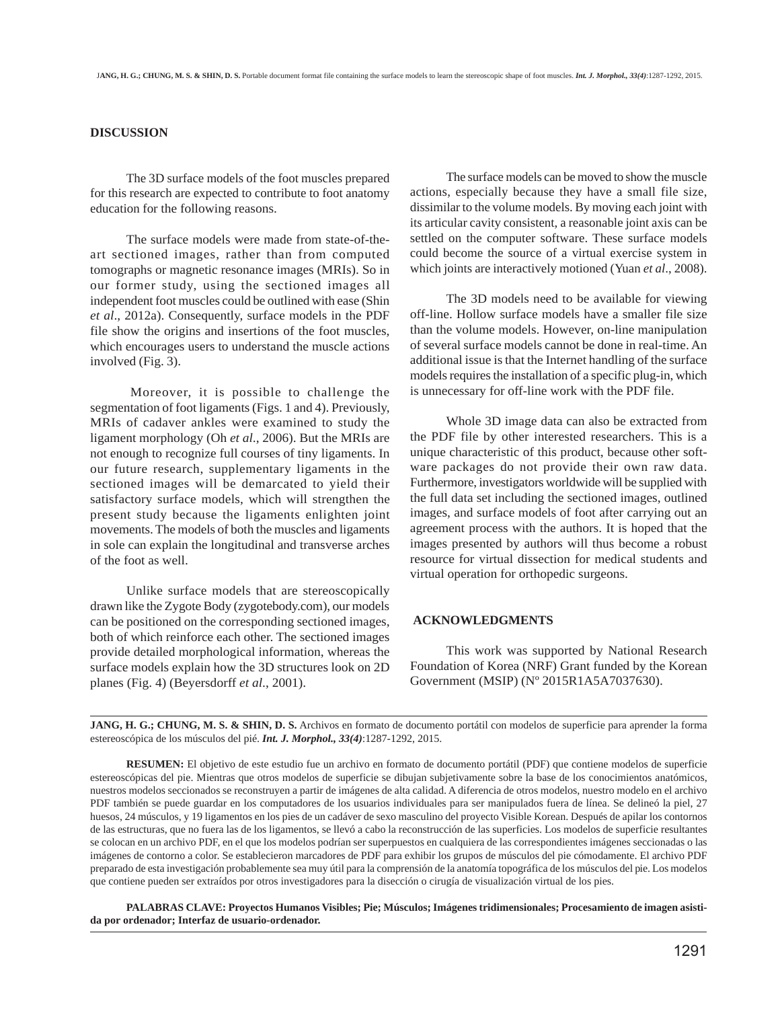#### **DISCUSSION**

The 3D surface models of the foot muscles prepared for this research are expected to contribute to foot anatomy education for the following reasons.

The surface models were made from state-of-theart sectioned images, rather than from computed tomographs or magnetic resonance images (MRIs). So in our former study, using the sectioned images all independent foot muscles could be outlined with ease (Shin *et al*., 2012a). Consequently, surface models in the PDF file show the origins and insertions of the foot muscles, which encourages users to understand the muscle actions involved (Fig. 3).

Moreover, it is possible to challenge the segmentation of foot ligaments (Figs. 1 and 4). Previously, MRIs of cadaver ankles were examined to study the ligament morphology (Oh *et al*., 2006). But the MRIs are not enough to recognize full courses of tiny ligaments. In our future research, supplementary ligaments in the sectioned images will be demarcated to yield their satisfactory surface models, which will strengthen the present study because the ligaments enlighten joint movements. The models of both the muscles and ligaments in sole can explain the longitudinal and transverse arches of the foot as well.

Unlike surface models that are stereoscopically drawn like the Zygote Body (zygotebody.com), our models can be positioned on the corresponding sectioned images, both of which reinforce each other. The sectioned images provide detailed morphological information, whereas the surface models explain how the 3D structures look on 2D planes (Fig. 4) (Beyersdorff *et al*., 2001).

The surface models can be moved to show the muscle actions, especially because they have a small file size, dissimilar to the volume models. By moving each joint with its articular cavity consistent, a reasonable joint axis can be settled on the computer software. These surface models could become the source of a virtual exercise system in which joints are interactively motioned (Yuan *et al*., 2008).

The 3D models need to be available for viewing off-line. Hollow surface models have a smaller file size than the volume models. However, on-line manipulation of several surface models cannot be done in real-time. An additional issue is that the Internet handling of the surface models requires the installation of a specific plug-in, which is unnecessary for off-line work with the PDF file.

Whole 3D image data can also be extracted from the PDF file by other interested researchers. This is a unique characteristic of this product, because other software packages do not provide their own raw data. Furthermore, investigators worldwide will be supplied with the full data set including the sectioned images, outlined images, and surface models of foot after carrying out an agreement process with the authors. It is hoped that the images presented by authors will thus become a robust resource for virtual dissection for medical students and virtual operation for orthopedic surgeons.

#### **ACKNOWLEDGMENTS**

This work was supported by National Research Foundation of Korea (NRF) Grant funded by the Korean Government (MSIP) (Nº 2015R1A5A7037630).

**JANG, H. G.; CHUNG, M. S. & SHIN, D. S.** Archivos en formato de documento portátil con modelos de superficie para aprender la forma estereoscópica de los músculos del pié. *Int. J. Morphol., 33(4)*:1287-1292, 2015.

**RESUMEN:** El objetivo de este estudio fue un archivo en formato de documento portátil (PDF) que contiene modelos de superficie estereoscópicas del pie. Mientras que otros modelos de superficie se dibujan subjetivamente sobre la base de los conocimientos anatómicos, nuestros modelos seccionados se reconstruyen a partir de imágenes de alta calidad. A diferencia de otros modelos, nuestro modelo en el archivo PDF también se puede guardar en los computadores de los usuarios individuales para ser manipulados fuera de línea. Se delineó la piel, 27 huesos, 24 músculos, y 19 ligamentos en los pies de un cadáver de sexo masculino del proyecto Visible Korean. Después de apilar los contornos de las estructuras, que no fuera las de los ligamentos, se llevó a cabo la reconstrucción de las superficies. Los modelos de superficie resultantes se colocan en un archivo PDF, en el que los modelos podrían ser superpuestos en cualquiera de las correspondientes imágenes seccionadas o las imágenes de contorno a color. Se establecieron marcadores de PDF para exhibir los grupos de músculos del pie cómodamente. El archivo PDF preparado de esta investigación probablemente sea muy útil para la comprensión de la anatomía topográfica de los músculos del pie. Los modelos que contiene pueden ser extraídos por otros investigadores para la disección o cirugía de visualización virtual de los pies.

**PALABRAS CLAVE: Proyectos Humanos Visibles; Pie; Músculos; Imágenes tridimensionales; Procesamiento de imagen asistida por ordenador; Interfaz de usuario-ordenador.**